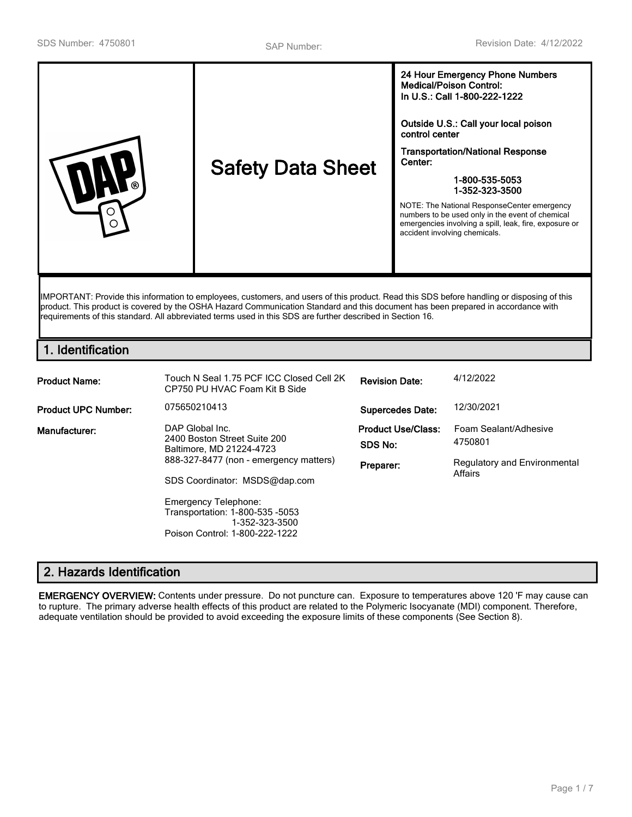| <b>Safety Data Sheet</b>                                                                                                                   | 24 Hour Emergency Phone Numbers<br><b>Medical/Poison Control:</b><br>In U.S.: Call 1-800-222-1222<br>Outside U.S.: Call your local poison<br>control center<br><b>Transportation/National Response</b><br>Center:<br>1-800-535-5053<br>1-352-323-3500<br>NOTE: The National ResponseCenter emergency<br>numbers to be used only in the event of chemical<br>emergencies involving a spill, leak, fire, exposure or<br>accident involving chemicals. |
|--------------------------------------------------------------------------------------------------------------------------------------------|-----------------------------------------------------------------------------------------------------------------------------------------------------------------------------------------------------------------------------------------------------------------------------------------------------------------------------------------------------------------------------------------------------------------------------------------------------|
| IMPORTANT: Provide this information to employees, customers, and users of this product. Read this SDS before handling or disposing of this |                                                                                                                                                                                                                                                                                                                                                                                                                                                     |

product. This product is covered by the OSHA Hazard Communication Standard and this document has been prepared in accordance with requirements of this standard. All abbreviated terms used in this SDS are further described in Section 16.

# **1. Identification**

| <b>Product Name:</b>       | Touch N Seal 1.75 PCF ICC Closed Cell 2K<br>CP750 PU HVAC Foam Kit B Side                                                                                                             | <b>Revision Date:</b>                             | 4/12/2022                                                                   |
|----------------------------|---------------------------------------------------------------------------------------------------------------------------------------------------------------------------------------|---------------------------------------------------|-----------------------------------------------------------------------------|
| <b>Product UPC Number:</b> | 075650210413                                                                                                                                                                          | <b>Supercedes Date:</b>                           | 12/30/2021                                                                  |
| Manufacturer:              | DAP Global Inc.<br>2400 Boston Street Suite 200<br>Baltimore, MD 21224-4723<br>888-327-8477 (non - emergency matters)<br>SDS Coordinator: MSDS@dap.com<br><b>Emergency Telephone:</b> | <b>Product Use/Class:</b><br>SDS No:<br>Preparer: | Foam Sealant/Adhesive<br>4750801<br>Regulatory and Environmental<br>Affairs |
|                            | Transportation: 1-800-535 -5053<br>1-352-323-3500<br>Poison Control: 1-800-222-1222                                                                                                   |                                                   |                                                                             |

# **2. Hazards Identification**

**EMERGENCY OVERVIEW:** Contents under pressure. Do not puncture can. Exposure to temperatures above 120 'F may cause can to rupture. The primary adverse health effects of this product are related to the Polymeric Isocyanate (MDI) component. Therefore, adequate ventilation should be provided to avoid exceeding the exposure limits of these components (See Section 8).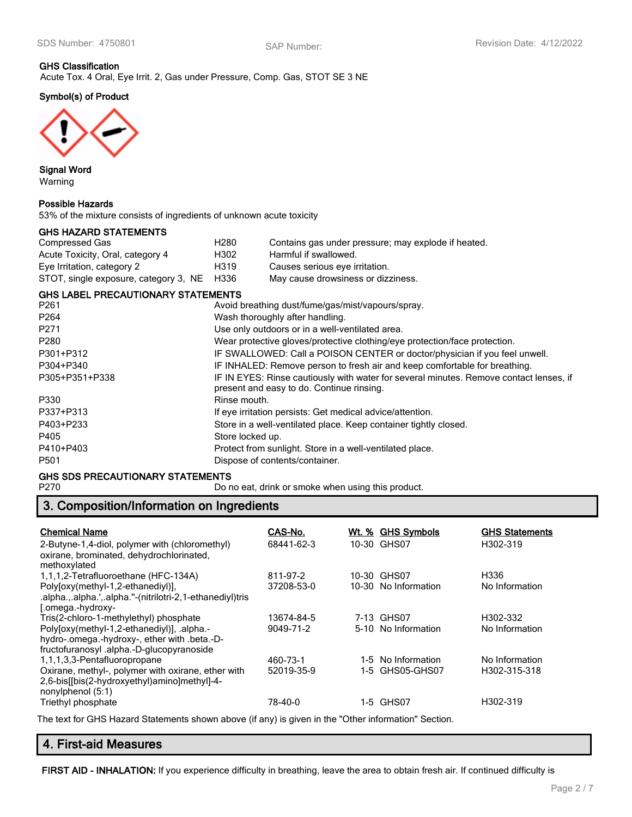# **GHS Classification**

Acute Tox. 4 Oral, Eye Irrit. 2, Gas under Pressure, Comp. Gas, STOT SE 3 NE

### **Symbol(s) of Product**



**Signal Word** Warning

#### **Possible Hazards**

53% of the mixture consists of ingredients of unknown acute toxicity

#### **GHS HAZARD STATEMENTS**

| Compressed Gas                        | H280 | Contains gas under pressure; may explode if heated. |
|---------------------------------------|------|-----------------------------------------------------|
| Acute Toxicity, Oral, category 4      | H302 | Harmful if swallowed.                               |
| Eye Irritation, category 2            | H319 | Causes serious eye irritation.                      |
| STOT, single exposure, category 3, NE | H336 | May cause drowsiness or dizziness.                  |

#### **GHS LABEL PRECAUTIONARY STATEMENTS**

| Avoid breathing dust/fume/gas/mist/vapours/spray.                                                                                   |
|-------------------------------------------------------------------------------------------------------------------------------------|
| Wash thoroughly after handling.                                                                                                     |
| Use only outdoors or in a well-ventilated area.                                                                                     |
| Wear protective gloves/protective clothing/eye protection/face protection.                                                          |
| IF SWALLOWED: Call a POISON CENTER or doctor/physician if you feel unwell.                                                          |
| IF INHALED: Remove person to fresh air and keep comfortable for breathing.                                                          |
| IF IN EYES: Rinse cautiously with water for several minutes. Remove contact lenses, if<br>present and easy to do. Continue rinsing. |
| Rinse mouth.                                                                                                                        |
| If eye irritation persists: Get medical advice/attention.                                                                           |
| Store in a well-ventilated place. Keep container tightly closed.                                                                    |
| Store locked up.                                                                                                                    |
| Protect from sunlight. Store in a well-ventilated place.                                                                            |
| Dispose of contents/container.                                                                                                      |
|                                                                                                                                     |

# **GHS SDS PRECAUTIONARY STATEMENTS**<br>P270 Dor

Do no eat, drink or smoke when using this product.

# **3. Composition/Information on Ingredients**

| <b>Chemical Name</b>                                                                                                                   | CAS-No.    | Wt. % GHS Symbols    | <b>GHS Statements</b> |
|----------------------------------------------------------------------------------------------------------------------------------------|------------|----------------------|-----------------------|
| 2-Butyne-1,4-diol, polymer with (chloromethyl)<br>oxirane, brominated, dehydrochlorinated,<br>methoxylated                             | 68441-62-3 | 10-30 GHS07          | H302-319              |
| 1,1,1,2-Tetrafluoroethane (HFC-134A)                                                                                                   | 811-97-2   | 10-30 GHS07          | H336                  |
| Polyloxy(methyl-1,2-ethanediyl)],<br>.alpha.,.alpha.',.alpha.''-(nitrilotri-2,1-ethanediyl)tris<br>[.omega.-hydroxy-                   | 37208-53-0 | 10-30 No Information | No Information        |
| Tris(2-chloro-1-methylethyl) phosphate                                                                                                 | 13674-84-5 | 7-13 GHS07           | H302-332              |
| Poly[oxy(methyl-1,2-ethanediyl)], .alpha.-<br>hydro-.omega.-hydroxy-, ether with .beta.-D-<br>fructofuranosyl.alpha.-D-glucopyranoside | 9049-71-2  | 5-10 No Information  | No Information        |
| 1,1,1,3,3-Pentafluoropropane                                                                                                           | 460-73-1   | 1-5 No Information   | No Information        |
| Oxirane, methyl-, polymer with oxirane, ether with<br>2,6-bis[[bis(2-hydroxyethyl)amino]methyl]-4-<br>nonylphenol $(5:1)$              | 52019-35-9 | 1-5 GHS05-GHS07      | H302-315-318          |
| Triethyl phosphate                                                                                                                     | 78-40-0    | 1-5 GHS07            | H302-319              |

The text for GHS Hazard Statements shown above (if any) is given in the "Other information" Section.

# **4. First-aid Measures**

**FIRST AID - INHALATION:** If you experience difficulty in breathing, leave the area to obtain fresh air. If continued difficulty is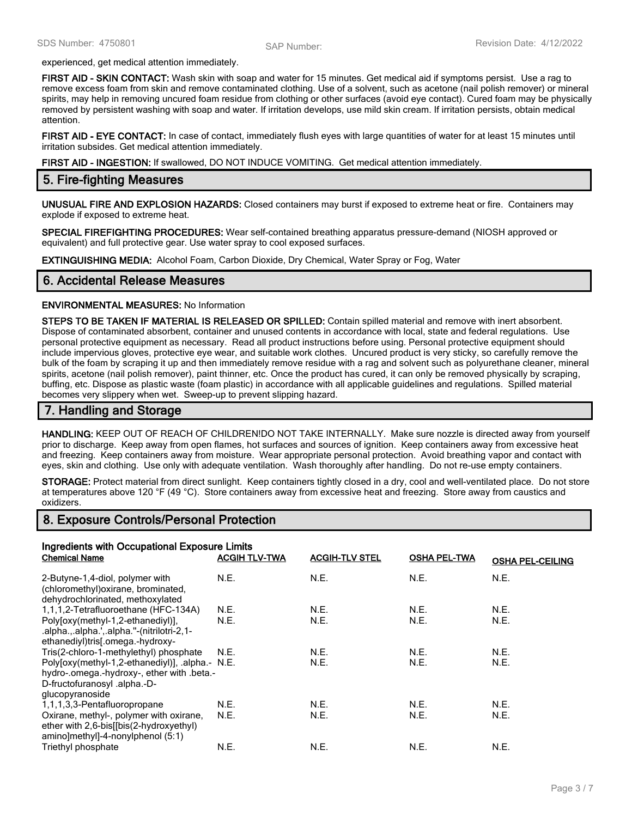experienced, get medical attention immediately.

**FIRST AID - SKIN CONTACT:** Wash skin with soap and water for 15 minutes. Get medical aid if symptoms persist. Use a rag to remove excess foam from skin and remove contaminated clothing. Use of a solvent, such as acetone (nail polish remover) or mineral spirits, may help in removing uncured foam residue from clothing or other surfaces (avoid eye contact). Cured foam may be physically removed by persistent washing with soap and water. If irritation develops, use mild skin cream. If irritation persists, obtain medical attention.

**FIRST AID - EYE CONTACT:** In case of contact, immediately flush eyes with large quantities of water for at least 15 minutes until irritation subsides. Get medical attention immediately.

**FIRST AID - INGESTION:** If swallowed, DO NOT INDUCE VOMITING. Get medical attention immediately.

#### **5. Fire-fighting Measures**

**UNUSUAL FIRE AND EXPLOSION HAZARDS:** Closed containers may burst if exposed to extreme heat or fire. Containers may explode if exposed to extreme heat.

**SPECIAL FIREFIGHTING PROCEDURES:** Wear self-contained breathing apparatus pressure-demand (NIOSH approved or equivalent) and full protective gear. Use water spray to cool exposed surfaces.

**EXTINGUISHING MEDIA:** Alcohol Foam, Carbon Dioxide, Dry Chemical, Water Spray or Fog, Water

#### **6. Accidental Release Measures**

#### **ENVIRONMENTAL MEASURES:** No Information

**STEPS TO BE TAKEN IF MATERIAL IS RELEASED OR SPILLED:** Contain spilled material and remove with inert absorbent. Dispose of contaminated absorbent, container and unused contents in accordance with local, state and federal regulations. Use personal protective equipment as necessary. Read all product instructions before using. Personal protective equipment should include impervious gloves, protective eye wear, and suitable work clothes. Uncured product is very sticky, so carefully remove the bulk of the foam by scraping it up and then immediately remove residue with a rag and solvent such as polyurethane cleaner, mineral spirits, acetone (nail polish remover), paint thinner, etc. Once the product has cured, it can only be removed physically by scraping, buffing, etc. Dispose as plastic waste (foam plastic) in accordance with all applicable guidelines and regulations. Spilled material becomes very slippery when wet. Sweep-up to prevent slipping hazard.

#### **7. Handling and Storage**

**HANDLING:** KEEP OUT OF REACH OF CHILDREN!DO NOT TAKE INTERNALLY. Make sure nozzle is directed away from yourself prior to discharge. Keep away from open flames, hot surfaces and sources of ignition. Keep containers away from excessive heat and freezing. Keep containers away from moisture. Wear appropriate personal protection. Avoid breathing vapor and contact with eyes, skin and clothing. Use only with adequate ventilation. Wash thoroughly after handling. Do not re-use empty containers.

**STORAGE:** Protect material from direct sunlight. Keep containers tightly closed in a dry, cool and well-ventilated place. Do not store at temperatures above 120 °F (49 °C). Store containers away from excessive heat and freezing. Store away from caustics and oxidizers.

#### **8. Exposure Controls/Personal Protection**

| Ingredients with Occupational Exposure Limits                                                                                                    |                      |                       |                     |                         |
|--------------------------------------------------------------------------------------------------------------------------------------------------|----------------------|-----------------------|---------------------|-------------------------|
| <b>Chemical Name</b>                                                                                                                             | <b>ACGIH TLV-TWA</b> | <b>ACGIH-TLV STEL</b> | <b>OSHA PEL-TWA</b> | <b>OSHA PEL-CEILING</b> |
| 2-Butyne-1,4-diol, polymer with<br>(chloromethyl) oxirane, brominated,<br>dehydrochlorinated, methoxylated                                       | N.E.                 | N.E.                  | N.E.                | N.E.                    |
| 1,1,1,2-Tetrafluoroethane (HFC-134A)                                                                                                             | N.E.                 | N.E.                  | N.E.                | N.E.                    |
| Poly[oxy(methyl-1,2-ethanediyl)],<br>.alpha.,.alpha.',.alpha."-(nitrilotri-2,1-<br>ethanediyl)tris[.omega.-hydroxy-                              | N.E.                 | N.E.                  | N.E.                | N.E.                    |
| Tris(2-chloro-1-methylethyl) phosphate                                                                                                           | N.E.                 | N.E.                  | N.E.                | N.E.                    |
| Poly[oxy(methyl-1,2-ethanediyl)], .alpha.- N.E.<br>hydro-.omega.-hydroxy-, ether with .beta.-<br>D-fructofuranosyl .alpha.-D-<br>glucopyranoside |                      | N.E.                  | N.E.                | N.E.                    |
| 1,1,1,3,3-Pentafluoropropane                                                                                                                     | N.E.                 | N.E.                  | N.E.                | N.E.                    |
| Oxirane, methyl-, polymer with oxirane,<br>ether with 2,6-bis[[bis(2-hydroxyethyl)<br>amino]methyl]-4-nonylphenol (5:1)                          | N.E.                 | N.E.                  | N.E.                | N.E.                    |
| Triethyl phosphate                                                                                                                               | N.E.                 | N.E.                  | N.E.                | N.E.                    |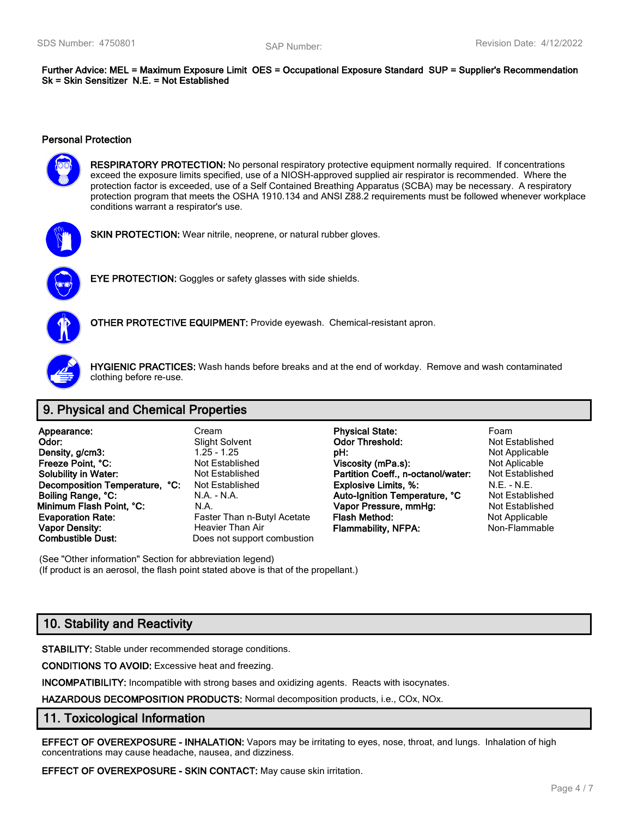**Further Advice: MEL = Maximum Exposure Limit OES = Occupational Exposure Standard SUP = Supplier's Recommendation Sk = Skin Sensitizer N.E. = Not Established**

#### **Personal Protection**



**RESPIRATORY PROTECTION:** No personal respiratory protective equipment normally required. If concentrations exceed the exposure limits specified, use of a NIOSH-approved supplied air respirator is recommended. Where the protection factor is exceeded, use of a Self Contained Breathing Apparatus (SCBA) may be necessary. A respiratory protection program that meets the OSHA 1910.134 and ANSI Z88.2 requirements must be followed whenever workplace conditions warrant a respirator's use.



**SKIN PROTECTION:** Wear nitrile, neoprene, or natural rubber gloves.



**EYE PROTECTION:** Goggles or safety glasses with side shields.



**OTHER PROTECTIVE EQUIPMENT:** Provide eyewash. Chemical-resistant apron.



**HYGIENIC PRACTICES:** Wash hands before breaks and at the end of workday. Remove and wash contaminated clothing before re-use.

### **9. Physical and Chemical Properties**

| Appearance:                       |    |
|-----------------------------------|----|
| Odor:                             |    |
| Density, g/cm3:                   |    |
| Freeze Point, °C:                 |    |
| <b>Solubility in Water:</b>       |    |
| <b>Decomposition Temperature,</b> | °€ |
| Boiling Range, °C:                |    |
| Minimum Flash Point, °C:          |    |
| <b>Evaporation Rate:</b>          |    |
| <b>Vapor Density:</b>             |    |
| <b>Combustible Dust:</b>          |    |

Does not support combustion

**Appearance:** Cream **Physical State:** Foam **Physical State: Odor:** Slight Solvent **Odor Threshold:** Not Established **Density, g/cm3:** 1.25 - 1.25 **pH:** Not Applicable **Freeze Point Applicable Point Applicable Viscosity (mPa.s):** Not Aplicable Not Established **Partition Coeff., n-octanol/water:** Not Established **Decomposition Temperature Temperature Temperature Constructs:** N.E. - N.E. - N.E. **Boiling Range, °C:** N.A. - N.A. **Auto-Ignition Temperature, °C** Not Established **Minimum Flash Point, °C:** N.A. **Vapor Pressure, mmHg:** Not Established **Faster Than n-Butyl Acetate Flash Method:** Not Applicable **Vapor Density:** Heavier Than Air **Flammability, NFPA:** Non-Flammable

(See "Other information" Section for abbreviation legend) (If product is an aerosol, the flash point stated above is that of the propellant.)

# **10. Stability and Reactivity**

**STABILITY:** Stable under recommended storage conditions.

**CONDITIONS TO AVOID:** Excessive heat and freezing.

**INCOMPATIBILITY:** Incompatible with strong bases and oxidizing agents. Reacts with isocynates.

**HAZARDOUS DECOMPOSITION PRODUCTS:** Normal decomposition products, i.e., COx, NOx.

#### **11. Toxicological Information**

**EFFECT OF OVEREXPOSURE - INHALATION:** Vapors may be irritating to eyes, nose, throat, and lungs. Inhalation of high concentrations may cause headache, nausea, and dizziness.

**EFFECT OF OVEREXPOSURE - SKIN CONTACT:** May cause skin irritation.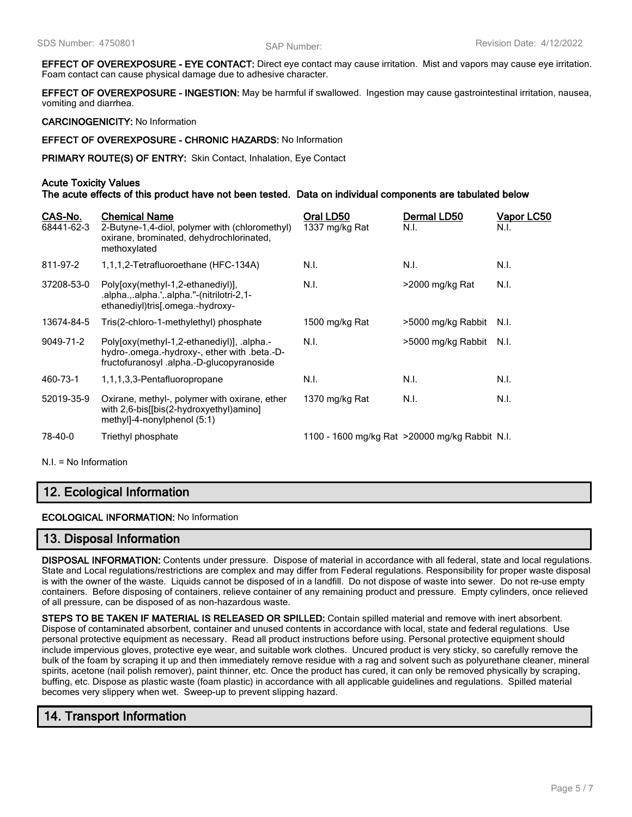**EFFECT OF OVEREXPOSURE - EYE CONTACT:** Direct eye contact may cause irritation. Mist and vapors may cause eye irritation. Foam contact can cause physical damage due to adhesive character.

**EFFECT OF OVEREXPOSURE - INGESTION:** May be harmful if swallowed. Ingestion may cause gastrointestinal irritation, nausea, vomiting and diarrhea.

**CARCINOGENICITY:** No Information

**EFFECT OF OVEREXPOSURE - CHRONIC HAZARDS:** No Information

**PRIMARY ROUTE(S) OF ENTRY:** Skin Contact, Inhalation, Eye Contact

#### **Acute Toxicity Values**

**The acute effects of this product have not been tested. Data on individual components are tabulated below**

| CAS-No.<br>68441-62-3 | <b>Chemical Name</b><br>2-Butyne-1,4-diol, polymer with (chloromethyl)<br>oxirane, brominated, dehydrochlorinated,<br>methoxylated     | Oral LD50<br>1337 mg/kg Rat                     | Dermal LD50<br>N.I. | Vapor LC50<br>N.I. |
|-----------------------|----------------------------------------------------------------------------------------------------------------------------------------|-------------------------------------------------|---------------------|--------------------|
| 811-97-2              | 1,1,1,2-Tetrafluoroethane (HFC-134A)                                                                                                   | N.I.                                            | N.I.                | N.I.               |
| 37208-53-0            | Poly[oxy(methyl-1,2-ethanediyl)],<br>.alpha.,.alpha.',.alpha."-(nitrilotri-2,1-<br>ethanediyl)tris[.omega.-hydroxy-                    | N.I.                                            | >2000 mg/kg Rat     | N.I.               |
| 13674-84-5            | Tris(2-chloro-1-methylethyl) phosphate                                                                                                 | 1500 mg/kg Rat                                  | >5000 mg/kg Rabbit  | N.I.               |
| 9049-71-2             | Polyloxy(methyl-1,2-ethanediyl)], .alpha.-<br>hydro-.omega.-hydroxy-, ether with .beta.-D-<br>fructofuranosyl.alpha.-D-glucopyranoside | N.I.                                            | >5000 mg/kg Rabbit  | N.I.               |
| 460-73-1              | 1,1,1,3,3-Pentafluoropropane                                                                                                           | N.I.                                            | N.I.                | N.I.               |
| 52019-35-9            | Oxirane, methyl-, polymer with oxirane, ether<br>with 2,6-bis[[bis(2-hydroxyethyl)amino]<br>methyl]-4-nonylphenol $(5:1)$              | 1370 mg/kg Rat                                  | N.I.                | N.I.               |
| 78-40-0               | Triethyl phosphate                                                                                                                     | 1100 - 1600 mg/kg Rat > 20000 mg/kg Rabbit N.I. |                     |                    |

N.I. = No Information

# **12. Ecological Information**

**ECOLOGICAL INFORMATION:** No Information

#### **13. Disposal Information**

**DISPOSAL INFORMATION:** Contents under pressure. Dispose of material in accordance with all federal, state and local regulations. State and Local regulations/restrictions are complex and may differ from Federal regulations. Responsibility for proper waste disposal is with the owner of the waste. Liquids cannot be disposed of in a landfill. Do not dispose of waste into sewer. Do not re-use empty containers. Before disposing of containers, relieve container of any remaining product and pressure. Empty cylinders, once relieved of all pressure, can be disposed of as non-hazardous waste.

**STEPS TO BE TAKEN IF MATERIAL IS RELEASED OR SPILLED:** Contain spilled material and remove with inert absorbent. Dispose of contaminated absorbent, container and unused contents in accordance with local, state and federal regulations. Use personal protective equipment as necessary. Read all product instructions before using. Personal protective equipment should include impervious gloves, protective eye wear, and suitable work clothes. Uncured product is very sticky, so carefully remove the bulk of the foam by scraping it up and then immediately remove residue with a rag and solvent such as polyurethane cleaner, mineral spirits, acetone (nail polish remover), paint thinner, etc. Once the product has cured, it can only be removed physically by scraping, buffing, etc. Dispose as plastic waste (foam plastic) in accordance with all applicable guidelines and regulations. Spilled material becomes very slippery when wet. Sweep-up to prevent slipping hazard.

# **14. Transport Information**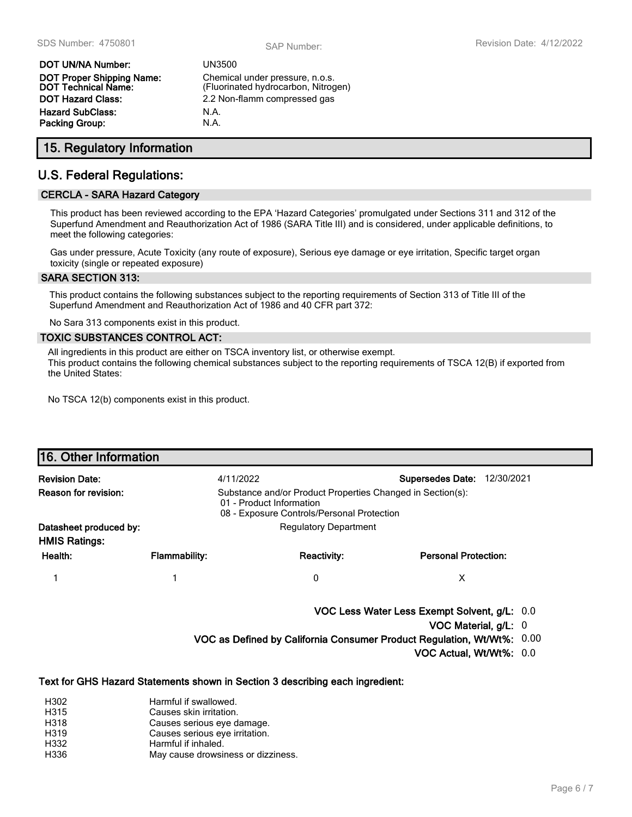| DOT UN/NA Number:                                       | UN3         |
|---------------------------------------------------------|-------------|
| <b>DOT Proper Shipping Name:</b><br>DOT Technical Name: | Che<br>(Flu |
| DOT Hazard Class:                                       | 2.21        |
| Hazard SubClass:                                        | N.A.        |
| Packing Group:                                          | N.A.        |

**DOT UN/NA Number:** UN3500 Chemical under pressure, n.o.s. (Fluorinated hydrocarbon, Nitrogen) 2.2 Non-flamm compressed gas

# **15. Regulatory Information**

### **U.S. Federal Regulations:**

#### **CERCLA - SARA Hazard Category**

This product has been reviewed according to the EPA 'Hazard Categories' promulgated under Sections 311 and 312 of the Superfund Amendment and Reauthorization Act of 1986 (SARA Title III) and is considered, under applicable definitions, to meet the following categories:

Gas under pressure, Acute Toxicity (any route of exposure), Serious eye damage or eye irritation, Specific target organ toxicity (single or repeated exposure)

#### **SARA SECTION 313:**

This product contains the following substances subject to the reporting requirements of Section 313 of Title III of the Superfund Amendment and Reauthorization Act of 1986 and 40 CFR part 372:

No Sara 313 components exist in this product.

#### **TOXIC SUBSTANCES CONTROL ACT:**

All ingredients in this product are either on TSCA inventory list, or otherwise exempt. This product contains the following chemical substances subject to the reporting requirements of TSCA 12(B) if exported from the United States:

No TSCA 12(b) components exist in this product.

| 16. Other Information  |                                                                                                                                      |                                                                               |                                                                        |  |
|------------------------|--------------------------------------------------------------------------------------------------------------------------------------|-------------------------------------------------------------------------------|------------------------------------------------------------------------|--|
| <b>Revision Date:</b>  | 4/11/2022                                                                                                                            |                                                                               | 12/30/2021<br><b>Supersedes Date:</b>                                  |  |
| Reason for revision:   | Substance and/or Product Properties Changed in Section(s):<br>01 - Product Information<br>08 - Exposure Controls/Personal Protection |                                                                               |                                                                        |  |
| Datasheet produced by: |                                                                                                                                      | <b>Regulatory Department</b>                                                  |                                                                        |  |
| <b>HMIS Ratings:</b>   |                                                                                                                                      |                                                                               |                                                                        |  |
| Health:                | <b>Flammability:</b>                                                                                                                 | <b>Reactivity:</b>                                                            | <b>Personal Protection:</b>                                            |  |
|                        | 1                                                                                                                                    | 0                                                                             | X                                                                      |  |
|                        |                                                                                                                                      |                                                                               | VOC Less Water Less Exempt Solvent, g/L: 0.0                           |  |
|                        |                                                                                                                                      |                                                                               | VOC Material, g/L: 0                                                   |  |
|                        |                                                                                                                                      |                                                                               | VOC as Defined by California Consumer Product Regulation, Wt/Wt%: 0.00 |  |
|                        |                                                                                                                                      |                                                                               | VOC Actual, Wt/Wt%: 0.0                                                |  |
|                        |                                                                                                                                      | Text for GHS Hazard Statements shown in Section 3 describing each ingredient: |                                                                        |  |
| H302<br>H315           | Harmful if swallowed.<br>Causes skin irritation.                                                                                     |                                                                               |                                                                        |  |

- H318 Causes serious eye damage.
- H319 Causes serious eye irritation.
- H332 Harmful if inhaled. H336 May cause drowsiness or dizziness.